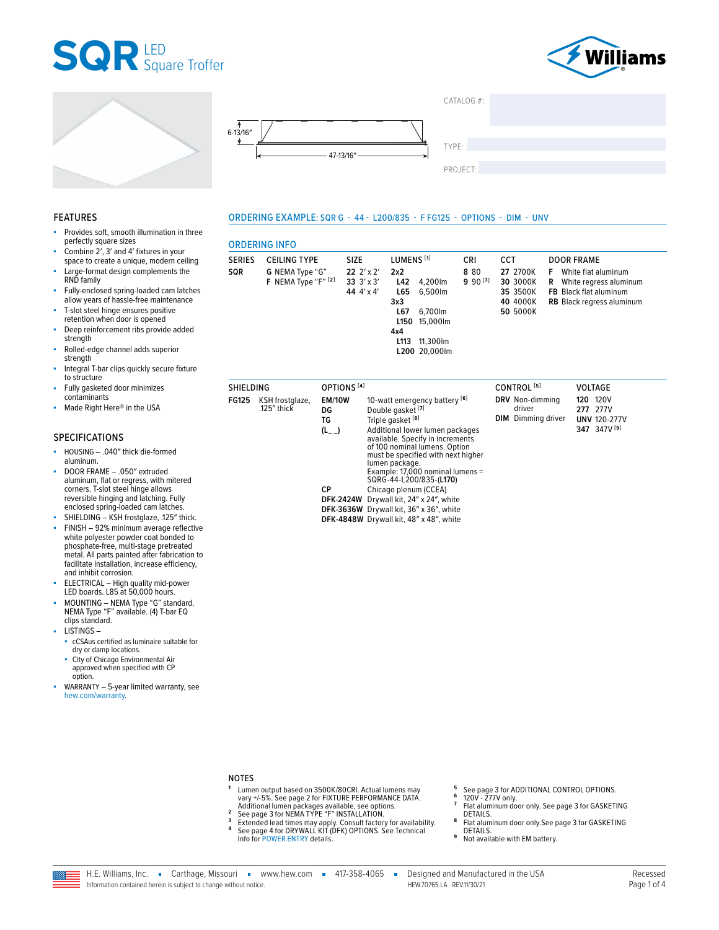







**ORDERING INFO** 

SOR

SERIES CEILING TYPE

G NEMA Type "G"

ORDERING EXAMPLE: SQR G - 44 - L200/835 - F FG125 - OPTIONS - DIM - UNV

LUMENS<sup>[1]</sup>

 $2x2$ 

SIZE

22 2' x 2'

 $CATAIOG #$ 

TYPE:

PROJECT:

CRI

8 80

CCT

27 2700K

**DOOR FRAME** 

F White flat aluminum

### **FEATURES**

- Provides soft, smooth illumination in three perfectly square sizes
- Combine 2', 3' and 4' fixtures in your space to create a unique, modern ceiling
- Large-format design complements the RND family
- ä, Fully-enclosed spring-loaded cam latches allow years of hassle-free maintenance
- T-slot steel hinge ensures positive retention when door is opened
- Deep reinforcement ribs provide added ٠ strenath
- Rolled-edge channel adds superior strength
- Integral T-bar clips quickly secure fixture to structure
- Fully gasketed door minimizes contaminants
- Made Right Here® in the USA

### **SPECIFICATIONS**

- à, HOUSING - . 040" thick die-formed aluminum.
- DOOR FRAME .050" extruded aluminum, flat or regress, with mitered corners. T-slot steel hinge allows reversible hinging and latching. Fully enclosed spring-loaded cam latches.
- SHIELDING KSH frostglaze, .125" thick. FINISH - 92% minimum average reflective white polyester powder coat bonded to phosphate-free, multi-stage pretreated metal. All parts painted after fabrication to facilitate installation, increase efficiency, and inhibit corrosion.
- ELECTRICAL High quality mid-power LED boards. L85 at 50,000 hours.
- MOUNTING NEMA Type "G" standard.<br>NEMA Type "F" available. (4) T-bar EQ clips standard.
- **LISTINGS-**
- cCSAus certified as luminaire suitable for dry or damp locations.
- City of Chicago Environmental Air approved when specified with CP option.
- WARRANTY 5-year limited warranty, see hew.com/warranty.

|                  | F NEMA Type "F" [2]            |                                              | 33 $3' \times 3'$<br>L42<br>44 4' x 4'<br>L65<br>3x3<br>L67<br>L150<br>4x4<br>L113                                                                                                                                                                                                                                                                                                                                                                                          | 4,200lm<br>6,500lm<br>6,700lm<br>15,000lm<br>11,300lm<br>L200 20,000lm | $990^{[3]}$ | 30 3000K<br>35 3500K<br>40 4000K<br>50 5000K           | R | White regress aluminum<br>FB Black flat aluminum<br><b>RB</b> Black regress aluminum |
|------------------|--------------------------------|----------------------------------------------|-----------------------------------------------------------------------------------------------------------------------------------------------------------------------------------------------------------------------------------------------------------------------------------------------------------------------------------------------------------------------------------------------------------------------------------------------------------------------------|------------------------------------------------------------------------|-------------|--------------------------------------------------------|---|--------------------------------------------------------------------------------------|
| <b>SHIELDING</b> |                                | OPTIONS <sup>[4]</sup>                       |                                                                                                                                                                                                                                                                                                                                                                                                                                                                             |                                                                        |             | CONTROL <sup>[5]</sup>                                 |   | <b>VOLTAGE</b>                                                                       |
| FG125            | KSH frostglaze,<br>.125" thick | <b>EM/10W</b><br>DG<br>TG<br>$(L_{-})$<br>СP | 10-watt emergency battery [6]<br>Double gasket [7]<br>Triple gasket <sup>[8]</sup><br>Additional lower lumen packages<br>available. Specify in increments<br>of 100 nominal lumens. Option<br>must be specified with next higher<br>lumen package.<br>Example: 17,000 nominal lumens =<br>SQRG-44-L200/835-(L170)<br>Chicago plenum (CCEA)<br>DFK-2424W Drywall kit, 24" x 24", white<br>DFK-3636W Drywall kit, 36" x 36", white<br>DFK-4848W Drywall kit, 48" x 48", white |                                                                        |             | DRV Non-dimming<br>driver<br><b>DIM</b> Dimming driver |   | 120V<br>120<br>277 277V<br><b>UNV 120-277V</b><br>347 347V <sup>[9]</sup>            |

- **NOTES**
- The output based on 3500K/80CRI. Actual lumens may<br>vary +/-5%. See page 2 for FIXTURE PERFORMANCE DATA.<br>Additional lumen packages available, see options.<br>See page 3 for NEMA TYPE "F" INSTALLATION.<br>Extended lead times may a  $\overline{2}$ 
	-
- 3 Info for POWER ENTRY details.
- See page 3 for ADDITIONAL CONTROL OPTIONS.<br>120V 277V only. 6
- $\overline{7}$
- Flat aluminum door only. See page 3 for GASKETING DETAILS.
- 8 Flat aluminum door only. See page 3 for GASKETING DETAILS.
- 9 Not available with EM battery.

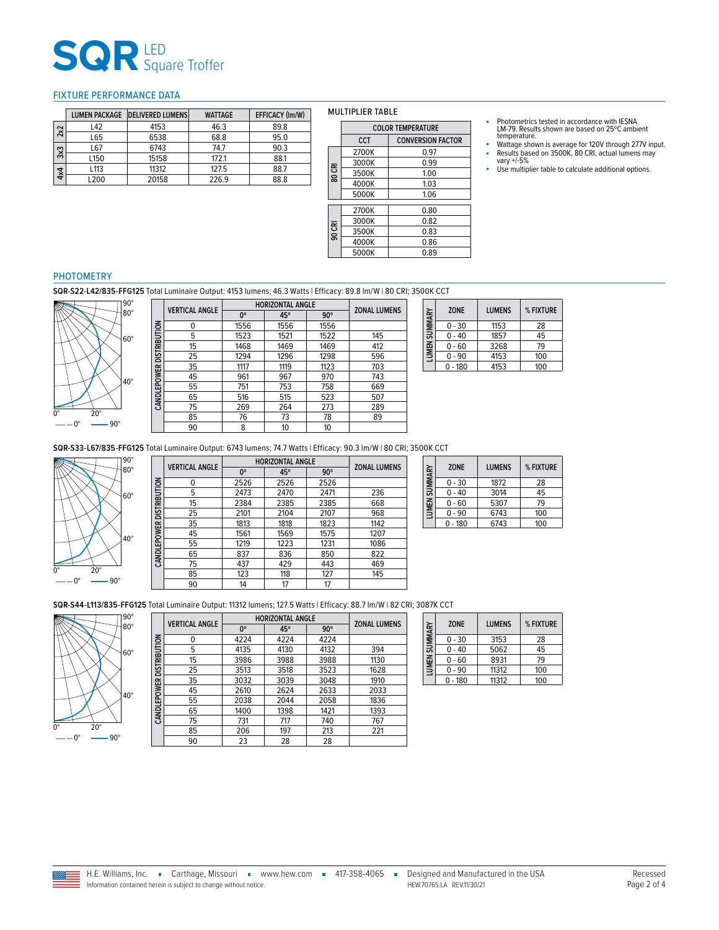# **SQR** LED<br>Square Troffer

### <span id="page-1-0"></span>FIXTURE PERFORMANCE DATA

|     |            | LUMEN PACKAGE DELIVERED LUMENS | <b>WATTAGE</b> | EFFICACY (Im/W) |
|-----|------------|--------------------------------|----------------|-----------------|
| 2x2 | L42        | 4153                           | 46.3           | 89.8            |
|     | L65        | 6538                           | 68.8           | 95.0            |
| 3x3 | L67        | 6743                           | 74.7           | 90.3            |
|     | L150       | 15158                          | 172.1          | 88.1            |
| 4x4 | L113       | 11312                          | 127.5          | 88.7            |
|     | <b>200</b> | 20158                          | 226.9          | 88.8            |

#### MULTIPLIER TABLE

 $4000K$ 

 $3000K$ 

 $5000K$ 

**80 CRI**

**90 CRI**

| <b>COLOR TEMPERATURE</b> |                          |  |  |
|--------------------------|--------------------------|--|--|
| CCT.                     | <b>CONVERSION FACTOR</b> |  |  |
| 2700K                    | 0 97                     |  |  |
| 3000K                    | 0.99                     |  |  |

3000K 0.99 3500K 1.00<br>4000K 1.03

5000K 1.06

2700K 0.80<br>3000K 0.82

3500K 0.83<br>4000K 0.86 4000K 0.86

- Photometrics tested in accordance with IESNA LM-79. Results shown are based on 25ºC ambient temperature.
- Wattage shown is average for 120V through 277V input.<br>■ Results based on 3500K, 80 CRI, actual lumens may<br>vary +/-5%
- Use multiplier table to calculate additional options.

# PHOTOMETRY

**SQR-S22-L42/835-FFG125** Total Luminaire Output: 4153 lumens; 46.3 Watts | Efficacy: 89.8 lm/W | 80 CRI; 3500K CCT



|                          | <b>VERTICAL ANGLE</b> | <b>HORIZONTAL ANGLE</b> | <b>ZONAL LUMENS</b> |            |     |
|--------------------------|-----------------------|-------------------------|---------------------|------------|-----|
|                          |                       | $0^{\circ}$             | 45°                 | $90^\circ$ |     |
| CANDLEPOWER DISTRIBUTION | 0                     | 1556                    | 1556                | 1556       |     |
|                          | 5                     | 1523                    | 1521                | 1522       | 145 |
|                          | 15                    | 1468                    | 1469                | 1469       | 412 |
|                          | 25                    | 1294                    | 1296                | 1298       | 596 |
|                          | 35                    | 1117                    | 1119                | 1123       | 703 |
|                          | 45                    | 961                     | 967                 | 970        | 743 |
|                          | 55                    | 751                     | 753                 | 758        | 669 |
|                          | 65                    | 516                     | 515                 | 523        | 507 |
|                          | 75                    | 269                     | 264                 | 273        | 289 |
|                          | 85                    | 76                      | 73                  | 78         | 89  |
|                          | 90                    | 8                       | 10                  | 10         |     |

| LUMEN SUMMARY | <b>ZONE</b> | <b>LUMENS</b> | % FIXTURE |
|---------------|-------------|---------------|-----------|
|               | $0 - 30$    | 1153          | 28        |
|               | $0 - 40$    | 1857          | 45        |
|               | 0 - 60      | 3268          | 79        |
|               | $0 - 90$    | 4153          | 100       |
|               | $-180$      | 4153          | 100       |

**SQR-S33-L67/835-FFG125** Total Luminaire Output: 6743 lumens; 74.7 Watts | Efficacy: 90.3 lm/W | 80 CRI; 3500K CCT



|                          | <b>VERTICAL ANGLE</b> | <b>HORIZONTAL ANGLE</b> | <b>ZONAL LUMENS</b> |            |      |
|--------------------------|-----------------------|-------------------------|---------------------|------------|------|
|                          |                       | nº                      | 45°                 | $90^\circ$ |      |
|                          | 0                     | 2526                    | 2526                | 2526       |      |
|                          | 5                     | 2473                    | 2470                | 2471       | 236  |
|                          | 15                    | 2384                    | 2385                | 2385       | 668  |
|                          | 25                    | 2101                    | 2104                | 2107       | 968  |
|                          | 35                    | 1813                    | 1818                | 1823       | 1142 |
|                          | 45                    | 1561                    | 1569                | 1575       | 1207 |
| CANDLEPOWER DISTRIBUTION | 55                    | 1219                    | 1223                | 1231       | 1086 |
|                          | 65                    | 837                     | 836                 | 850        | 822  |
|                          | 75                    | 437                     | 429                 | 443        | 469  |
|                          | 85                    | 123                     | 118                 | 127        | 145  |
|                          | 90                    | 14                      | 17                  | 17         |      |

| LUMEN SUMMARY | <b>ZONE</b> | <b>LUMENS</b> | % FIXTURE |
|---------------|-------------|---------------|-----------|
|               | $0 - 30$    | 1872          | 28        |
|               | $0 - 40$    | 3014          | 45        |
|               | $0 - 60$    | 5307          | 79        |
|               | $0 - 90$    | 6743          | 100       |
|               | $0 - 180$   | 6743          | 100       |

**SQR-S44-L113/835-FFG125** Total Luminaire Output: 11312 lumens; 127.5 Watts | Efficacy: 88.7 lm/W | 82 CRI; 3087K CCT



|                     | <b>VERTICAL ANGLE</b> | <b>HORIZONTAL ANGLE</b> | <b>ZONAL LUMENS</b> |            |      |  |  |
|---------------------|-----------------------|-------------------------|---------------------|------------|------|--|--|
|                     |                       | 0°                      | 45°                 | $90^\circ$ |      |  |  |
|                     | 0                     | 4224                    | 4224                | 4224       |      |  |  |
| <b>DISTRIBUTION</b> | 5                     | 4135                    | 4130                | 4132       | 394  |  |  |
|                     | 15                    | 3986                    | 3988                | 3988       | 1130 |  |  |
|                     | 25                    | 3513                    | 3518                | 3523       | 1628 |  |  |
|                     | 35                    | 3032                    | 3039                | 3048       | 1910 |  |  |
|                     | 45                    | 2610                    | 2624                | 2633       | 2033 |  |  |
| CANDLEPOWER         | 55                    | 2038                    | 2044                | 2058       | 1836 |  |  |
|                     | 65                    | 1400                    | 1398                | 1421       | 1393 |  |  |
|                     | 75                    | 731                     | 717                 | 740        | 767  |  |  |
|                     | 85                    | 206                     | 197                 | 213        | 221  |  |  |
|                     | 90                    | 23                      | 28                  | 28         |      |  |  |

| <b>ZONE</b><br>LUMEN SUMMARY |  | <b>LUMENS</b> | % FIXTURE |     |
|------------------------------|--|---------------|-----------|-----|
|                              |  | $0 - 30$      | 3153      | 28  |
|                              |  | $0 - 40$      | 5062      | 45  |
|                              |  | $0 - 60$      | 8931      | 79  |
|                              |  | $0 - 90$      | 11312     | 100 |
|                              |  | $0 - 180$     | 11312     | 100 |

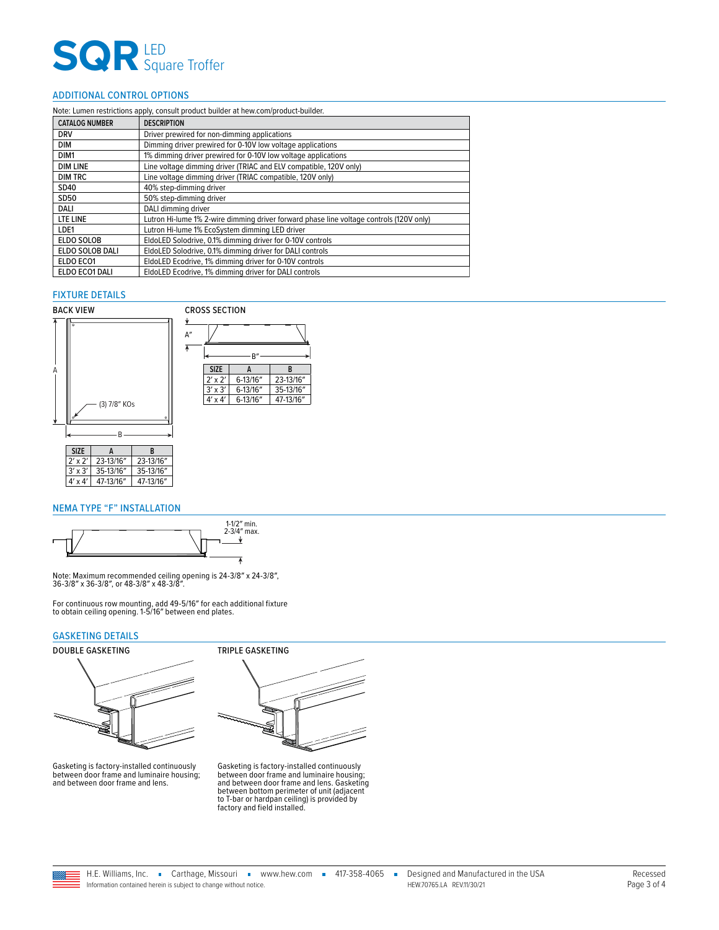# **SQR** LED<br>Square Troffer

## <span id="page-2-1"></span>ADDITIONAL CONTROL OPTIONS

| Note: Lumen restrictions apply, consult product builder at hew.com/product-builder. |                                                                                         |  |  |
|-------------------------------------------------------------------------------------|-----------------------------------------------------------------------------------------|--|--|
| <b>CATALOG NUMBER</b>                                                               | <b>DESCRIPTION</b>                                                                      |  |  |
| <b>DRV</b>                                                                          | Driver prewired for non-dimming applications                                            |  |  |
| DIM                                                                                 | Dimming driver prewired for 0-10V low voltage applications                              |  |  |
| DIM1                                                                                | 1% dimming driver prewired for 0-10V low voltage applications                           |  |  |
| <b>DIM LINE</b>                                                                     | Line voltage dimming driver (TRIAC and ELV compatible, 120V only)                       |  |  |
| <b>DIM TRC</b>                                                                      | Line voltage dimming driver (TRIAC compatible, 120V only)                               |  |  |
| SD40                                                                                | 40% step-dimming driver                                                                 |  |  |
| SD50                                                                                | 50% step-dimming driver                                                                 |  |  |
| DALI                                                                                | DALI dimming driver                                                                     |  |  |
| LTE LINE                                                                            | Lutron Hi-lume 1% 2-wire dimming driver forward phase line voltage controls (120V only) |  |  |
| LDE1                                                                                | Lutron Hi-lume 1% EcoSystem dimming LED driver                                          |  |  |
| <b>ELDO SOLOB</b>                                                                   | EldoLED Solodrive, 0.1% dimming driver for 0-10V controls                               |  |  |
| ELDO SOLOB DALI                                                                     | EldoLED Solodrive, 0.1% dimming driver for DALI controls                                |  |  |
| ELDO ECO1                                                                           | EldoLED Ecodrive, 1% dimming driver for 0-10V controls                                  |  |  |
| ELDO ECO1 DALI                                                                      | EldoLED Ecodrive, 1% dimming driver for DALI controls                                   |  |  |

#### FIXTURE DETAILS



### <span id="page-2-0"></span>NEMA TYPE "F" INSTALLATION



Note: Maximum recommended ceiling opening is 24-3/8″ x 24-3/8″, 36-3/8″ x 36-3/8″, or 48-3/8″ x 48-3/8″.

For continuous row mounting, add 49-5/16″ for each additional fixture to obtain ceiling opening. 1-5/16″ between end plates.

#### <span id="page-2-2"></span>GASKETING DETAILS



Gasketing is factory-installed continuously between door frame and luminaire housing; and between door frame and lens.



Gasketing is factory-installed continuously<br>between door frame and luminaire housing;<br>and between door frame and lens. Gasketing<br>between bottom perimeter of unit (adjacent<br>to T-bar or hardpan ceiling) is provided by<br>factor